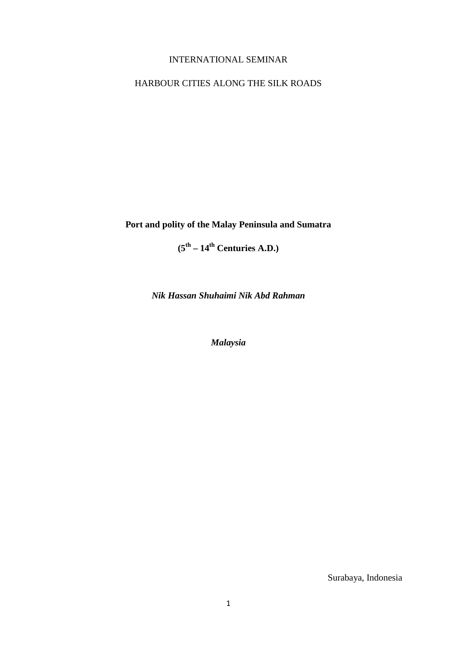# INTERNATIONAL SEMINAR

# HARBOUR CITIES ALONG THE SILK ROADS

**Port and polity of the Malay Peninsula and Sumatra** 

**(5th – 14th Centuries A.D.)**

*Nik Hassan Shuhaimi Nik Abd Rahman*

*Malaysia*

Surabaya, Indonesia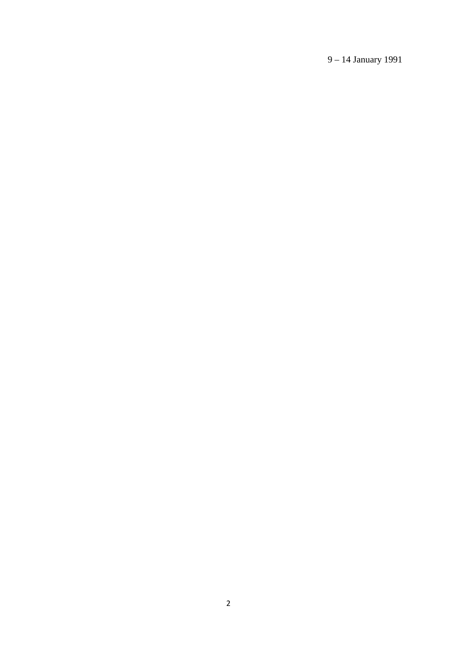9 – 14 January 1991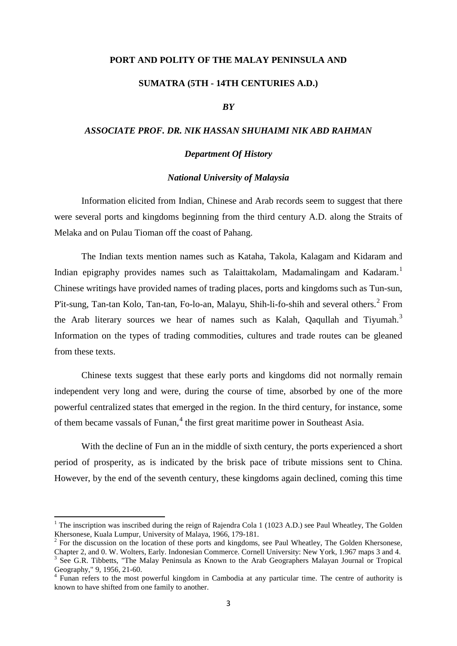### **PORT AND POLITY OF THE MALAY PENINSULA AND**

## **SUMATRA (5TH - 14TH CENTURIES A.D.)**

## *BY*

## *ASSOCIATE PROF. DR. NIK HASSAN SHUHAIMI NIK ABD RAHMAN*

#### *Department Of History*

#### *National University of Malaysia*

Information elicited from Indian, Chinese and Arab records seem to suggest that there were several ports and kingdoms beginning from the third century A.D. along the Straits of Melaka and on Pulau Tioman off the coast of Pahang.

The Indian texts mention names such as Kataha, Takola, Kalagam and Kidaram and Indian epigraphy provides names such as Talaittakolam, Madamalingam and Kadaram.<sup>[1](#page-2-0)</sup> Chinese writings have provided names of trading places, ports and kingdoms such as Tun-sun, P'it-sung, Tan-tan Kolo, Tan-tan, Fo-lo-an, Malayu, Shih-li-fo-shih and several others.<sup>[2](#page-2-1)</sup> From the Arab literary sources we hear of names such as Kalah, Qaqullah and Tiyumah.<sup>[3](#page-2-2)</sup> Information on the types of trading commodities, cultures and trade routes can be gleaned from these texts.

Chinese texts suggest that these early ports and kingdoms did not normally remain independent very long and were, during the course of time, absorbed by one of the more powerful centralized states that emerged in the region. In the third century, for instance, some of them became vassals of Funan,<sup>[4](#page-2-3)</sup> the first great maritime power in Southeast Asia.

With the decline of Fun an in the middle of sixth century, the ports experienced a short period of prosperity, as is indicated by the brisk pace of tribute missions sent to China. However, by the end of the seventh century, these kingdoms again declined, coming this time

<span id="page-2-0"></span><sup>&</sup>lt;sup>1</sup> The inscription was inscribed during the reign of Rajendra Cola 1 (1023 A.D.) see Paul Wheatley, The Golden Khersonese, Kuala Lumpur, University of Malaya, 1966, 179-181.

<span id="page-2-1"></span> $k^2$  For the discussion on the location of these ports and kingdoms, see Paul Wheatley, The Golden Khersonese, Chapter 2, and 0. W. Wolters, Early. Indonesian Commerce. Cornell University: New York, 1.967 maps 3 and 4.

<span id="page-2-2"></span> $3$  See G.R. Tibbetts, "The Malay Peninsula as Known to the Arab Geographers Malayan Journal or Tropical Geography," 9, 1956, 21-60.

<span id="page-2-3"></span> $4$  Funan refers to the most powerful kingdom in Cambodia at any particular time. The centre of authority is known to have shifted from one family to another.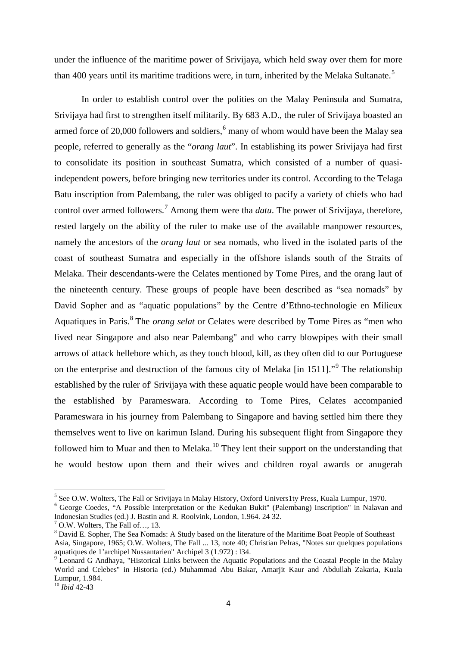under the influence of the maritime power of Srivijaya, which held sway over them for more than 400 years until its maritime traditions were, in turn, inherited by the Melaka Sultanate.<sup>[5](#page-3-0)</sup>

In order to establish control over the polities on the Malay Peninsula and Sumatra, Srivijaya had first to strengthen itself militarily. By 683 A.D., the ruler of Srivijaya boasted an armed force of 20,000 followers and soldiers, $6 \text{ many of whom would have been the Malay sea}$  $6 \text{ many of whom would have been the Malay sea}$ people, referred to generally as the "*orang laut*". In establishing its power Srivijaya had first to consolidate its position in southeast Sumatra, which consisted of a number of quasiindependent powers, before bringing new territories under its control. According to the Telaga Batu inscription from Palembang, the ruler was obliged to pacify a variety of chiefs who had control over armed followers.<sup>[7](#page-3-2)</sup> Among them were tha *datu*. The power of Srivijaya, therefore, rested largely on the ability of the ruler to make use of the available manpower resources, namely the ancestors of the *orang laut* or sea nomads, who lived in the isolated parts of the coast of southeast Sumatra and especially in the offshore islands south of the Straits of Melaka. Their descendants-were the Celates mentioned by Tome Pires, and the orang laut of the nineteenth century. These groups of people have been described as "sea nomads" by David Sopher and as "aquatic populations" by the Centre d'Ethno-technologie en Milieux Aquatiques in Paris.[8](#page-3-3) The *orang selat* or Celates were described by Tome Pires as "men who lived near Singapore and also near Palembang" and who carry blowpipes with their small arrows of attack hellebore which, as they touch blood, kill, as they often did to our Portuguese on the enterprise and destruction of the famous city of Melaka [in 1511]."<sup>[9](#page-3-4)</sup> The relationship established by the ruler of' Srivijaya with these aquatic people would have been comparable to the established by Parameswara. According to Tome Pires, Celates accompanied Parameswara in his journey from Palembang to Singapore and having settled him there they themselves went to live on karimun Island. During his subsequent flight from Singapore they followed him to Muar and then to Melaka.<sup>[10](#page-3-5)</sup> They lent their support on the understanding that he would bestow upon them and their wives and children royal awards or anugerah

<span id="page-3-1"></span><span id="page-3-0"></span>

<sup>&</sup>lt;sup>5</sup> See O.W. Wolters, The Fall or Srivijaya in Malay History, Oxford Univers1ty Press, Kuala Lumpur, 1970.<br><sup>6</sup> George Coedes, "A Possible Interpretation or the Kedukan Bukit" (Palembang) Inscription" in Nalavan and Indonesian Studies (ed.) J. Bastin and R. Roolvink, London, 1.964. 24 32.

 $<sup>7</sup>$  O.W. Wolters, The Fall of ..., 13.</sup>

<span id="page-3-3"></span><span id="page-3-2"></span><sup>&</sup>lt;sup>8</sup> David E. Sopher, The Sea Nomads: A Study based on the literature of the Maritime Boat People of Southeast Asia, Singapore, 1965; O.W. Wolters, The Fall ... 13, note 40; Christian Pelras, "Notes sur quelques populations aquatiques de 1'archipel Nussantarien" Archipel 3 (1.972) : 134.

<span id="page-3-4"></span> $\frac{9}{9}$  Leonard G Andhaya, "Historical Links between the Aquatic Populations and the Coastal People in the Malay World and Celebes" in Historia (ed.) Muhammad Abu Bakar, Amarjit Kaur and Abdullah Zakaria, Kuala Lumpur, 1.984.

<span id="page-3-5"></span><sup>10</sup> *Ibid* 42-43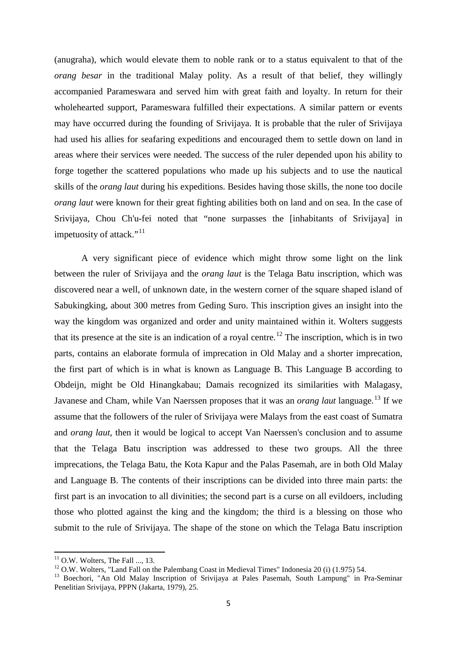(anugraha), which would elevate them to noble rank or to a status equivalent to that of the *orang besar* in the traditional Malay polity. As a result of that belief, they willingly accompanied Parameswara and served him with great faith and loyalty. In return for their wholehearted support, Parameswara fulfilled their expectations. A similar pattern or events may have occurred during the founding of Srivijaya. It is probable that the ruler of Srivijaya had used his allies for seafaring expeditions and encouraged them to settle down on land in areas where their services were needed. The success of the ruler depended upon his ability to forge together the scattered populations who made up his subjects and to use the nautical skills of the *orang laut* during his expeditions. Besides having those skills, the none too docile *orang laut* were known for their great fighting abilities both on land and on sea. In the case of Srivijaya, Chou Ch'u-fei noted that "none surpasses the [inhabitants of Srivijaya] in impetuosity of attack."<sup>[11](#page-4-0)</sup>

A very significant piece of evidence which might throw some light on the link between the ruler of Srivijaya and the *orang laut* is the Telaga Batu inscription, which was discovered near a well, of unknown date, in the western corner of the square shaped island of Sabukingking, about 300 metres from Geding Suro. This inscription gives an insight into the way the kingdom was organized and order and unity maintained within it. Wolters suggests that its presence at the site is an indication of a royal centre.<sup>[12](#page-4-1)</sup> The inscription, which is in two parts, contains an elaborate formula of imprecation in Old Malay and a shorter imprecation, the first part of which is in what is known as Language B. This Language B according to Obdeijn, might be Old Hinangkabau; Damais recognized its similarities with Malagasy, Javanese and Cham, while Van Naerssen proposes that it was an *orang laut* language.<sup>[13](#page-4-2)</sup> If we assume that the followers of the ruler of Srivijaya were Malays from the east coast of Sumatra and *orang laut*, then it would be logical to accept Van Naerssen's conclusion and to assume that the Telaga Batu inscription was addressed to these two groups. All the three imprecations, the Telaga Batu, the Kota Kapur and the Palas Pasemah, are in both Old Malay and Language B. The contents of their inscriptions can be divided into three main parts: the first part is an invocation to all divinities; the second part is a curse on all evildoers, including those who plotted against the king and the kingdom; the third is a blessing on those who submit to the rule of Srivijaya. The shape of the stone on which the Telaga Batu inscription

<span id="page-4-2"></span><span id="page-4-1"></span>

<span id="page-4-0"></span><sup>&</sup>lt;sup>11</sup> O.W. Wolters, The Fall ..., 13.<br><sup>12</sup> O.W. Wolters, "Land Fall on the Palembang Coast in Medieval Times" Indonesia 20 (i) (1.975) 54.<br><sup>13</sup> Boechori, "An Old Malay Inscription of Srivijaya at Pales Pasemah, South Lampu Penelitian Srivijaya, PPPN (Jakarta, 1979), 25.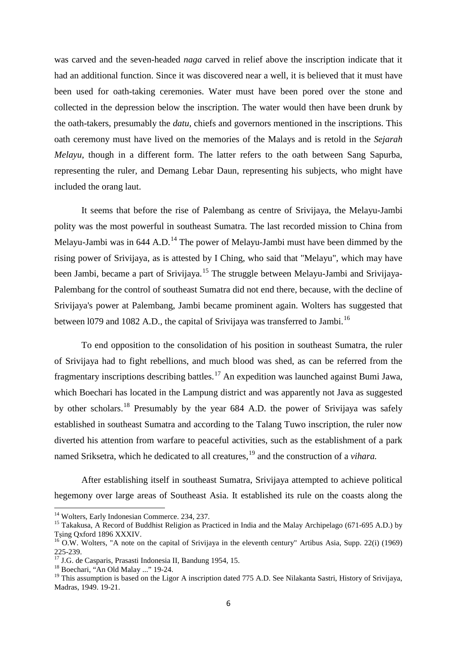was carved and the seven-headed *naga* carved in relief above the inscription indicate that it had an additional function. Since it was discovered near a well, it is believed that it must have been used for oath-taking ceremonies. Water must have been pored over the stone and collected in the depression below the inscription. The water would then have been drunk by the oath-takers, presumably the *datu*, chiefs and governors mentioned in the inscriptions. This oath ceremony must have lived on the memories of the Malays and is retold in the *Sejarah Melayu*, though in a different form. The latter refers to the oath between Sang Sapurba, representing the ruler, and Demang Lebar Daun, representing his subjects, who might have included the orang laut.

It seems that before the rise of Palembang as centre of Srivijaya, the Melayu-Jambi polity was the most powerful in southeast Sumatra. The last recorded mission to China from Melayu-Jambi was in  $644$  A.D.<sup>[14](#page-5-0)</sup> The power of Melayu-Jambi must have been dimmed by the rising power of Srivijaya, as is attested by I Ching, who said that "Melayu", which may have been Jambi, became a part of Srivijaya.<sup>[15](#page-5-1)</sup> The struggle between Melayu-Jambi and Srivijaya-Palembang for the control of southeast Sumatra did not end there, because, with the decline of Srivijaya's power at Palembang, Jambi became prominent again. Wolters has suggested that between 1079 and 1082 A.D., the capital of Srivijaya was transferred to Jambi.<sup>[16](#page-5-2)</sup>

To end opposition to the consolidation of his position in southeast Sumatra, the ruler of Srivijaya had to fight rebellions, and much blood was shed, as can be referred from the fragmentary inscriptions describing battles.<sup>[17](#page-5-3)</sup> An expedition was launched against Bumi Jawa, which Boechari has located in the Lampung district and was apparently not Java as suggested by other scholars.<sup>[18](#page-5-4)</sup> Presumably by the year 684 A.D. the power of Srivijaya was safely established in southeast Sumatra and according to the Talang Tuwo inscription, the ruler now diverted his attention from warfare to peaceful activities, such as the establishment of a park named Sriksetra, which he dedicated to all creatures,<sup>[19](#page-5-5)</sup> and the construction of a *vihara*.

After establishing itself in southeast Sumatra, Srivijaya attempted to achieve political hegemony over large areas of Southeast Asia. It established its rule on the coasts along the

<span id="page-5-1"></span>

<span id="page-5-0"></span><sup>&</sup>lt;sup>14</sup> Wolters, Early Indonesian Commerce. 234, 237.<br><sup>15</sup> Takakusa, A Record of Buddhist Religion as Practiced in India and the Malay Archipelago (671-695 A.D.) by<br>Tsing Oxford 1896 XXXIV.

<span id="page-5-2"></span> $\frac{16}{16}$  O.W. Wolters, "A note on the capital of Srivijaya in the eleventh century" Artibus Asia, Supp. 22(i) (1969) 225-239.<br><sup>17</sup> J.G. de Casparis, Prasasti Indonesia II, Bandung 1954, 15.<br><sup>18</sup> Boechari, "An Old Malay ..." 19-24.

<span id="page-5-3"></span>

<span id="page-5-5"></span><span id="page-5-4"></span><sup>&</sup>lt;sup>19</sup> This assumption is based on the Ligor A inscription dated 775 A.D. See Nilakanta Sastri, History of Srivijaya, Madras, 1949. 19-21.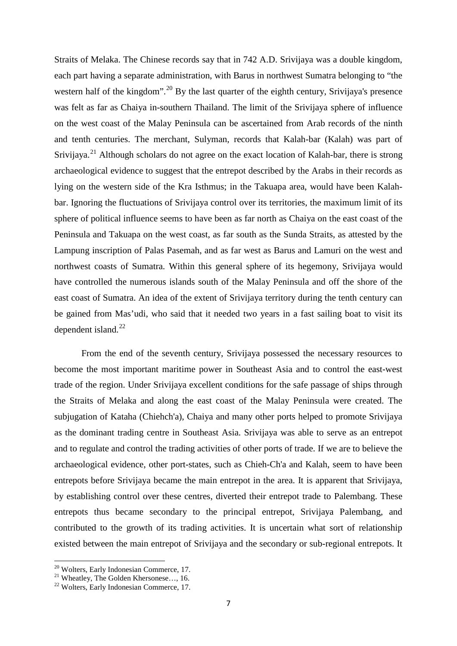Straits of Melaka. The Chinese records say that in 742 A.D. Srivijaya was a double kingdom, each part having a separate administration, with Barus in northwest Sumatra belonging to "the western half of the kingdom".<sup>[20](#page-6-0)</sup> By the last quarter of the eighth century, Srivijaya's presence was felt as far as Chaiya in-southern Thailand. The limit of the Srivijaya sphere of influence on the west coast of the Malay Peninsula can be ascertained from Arab records of the ninth and tenth centuries. The merchant, Sulyman, records that Kalah-bar (Kalah) was part of Srivijaya.<sup>[21](#page-6-1)</sup> Although scholars do not agree on the exact location of Kalah-bar, there is strong archaeological evidence to suggest that the entrepot described by the Arabs in their records as lying on the western side of the Kra Isthmus; in the Takuapa area, would have been Kalahbar. Ignoring the fluctuations of Srivijaya control over its territories, the maximum limit of its sphere of political influence seems to have been as far north as Chaiya on the east coast of the Peninsula and Takuapa on the west coast, as far south as the Sunda Straits, as attested by the Lampung inscription of Palas Pasemah, and as far west as Barus and Lamuri on the west and northwest coasts of Sumatra. Within this general sphere of its hegemony, Srivijaya would have controlled the numerous islands south of the Malay Peninsula and off the shore of the east coast of Sumatra. An idea of the extent of Srivijaya territory during the tenth century can be gained from Mas'udi, who said that it needed two years in a fast sailing boat to visit its dependent island. $^{22}$  $^{22}$  $^{22}$ 

From the end of the seventh century, Srivijaya possessed the necessary resources to become the most important maritime power in Southeast Asia and to control the east-west trade of the region. Under Srivijaya excellent conditions for the safe passage of ships through the Straits of Melaka and along the east coast of the Malay Peninsula were created. The subjugation of Kataha (Chiehch'a), Chaiya and many other ports helped to promote Srivijaya as the dominant trading centre in Southeast Asia. Srivijaya was able to serve as an entrepot and to regulate and control the trading activities of other ports of trade. If we are to believe the archaeological evidence, other port-states, such as Chieh-Ch'a and Kalah, seem to have been entrepots before Srivijaya became the main entrepot in the area. It is apparent that Srivijaya, by establishing control over these centres, diverted their entrepot trade to Palembang. These entrepots thus became secondary to the principal entrepot, Srivijaya Palembang, and contributed to the growth of its trading activities. It is uncertain what sort of relationship existed between the main entrepot of Srivijaya and the secondary or sub-regional entrepots. It

<span id="page-6-1"></span><span id="page-6-0"></span>

<sup>&</sup>lt;sup>20</sup> Wolters, Early Indonesian Commerce, 17.<br><sup>21</sup> Wheatley, The Golden Khersonese..., 16.<br><sup>22</sup> Wolters, Early Indonesian Commerce, 17.

<span id="page-6-2"></span>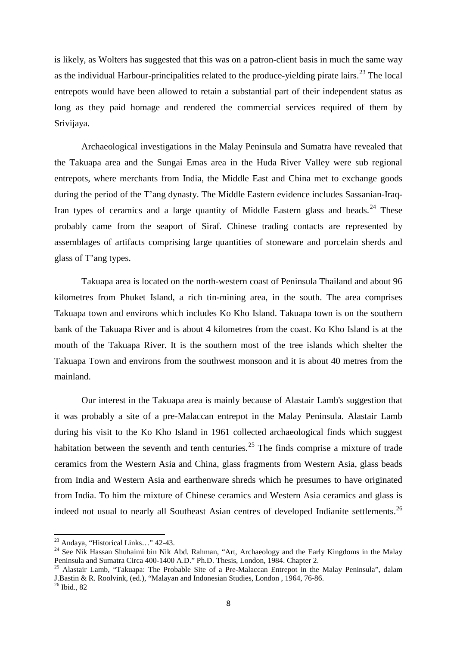is likely, as Wolters has suggested that this was on a patron-client basis in much the same way as the individual Harbour-principalities related to the produce-yielding pirate lairs.<sup>[23](#page-7-0)</sup> The local entrepots would have been allowed to retain a substantial part of their independent status as long as they paid homage and rendered the commercial services required of them by Srivijaya.

Archaeological investigations in the Malay Peninsula and Sumatra have revealed that the Takuapa area and the Sungai Emas area in the Huda River Valley were sub regional entrepots, where merchants from India, the Middle East and China met to exchange goods during the period of the T'ang dynasty. The Middle Eastern evidence includes Sassanian-Iraq-Iran types of ceramics and a large quantity of Middle Eastern glass and beads.<sup>[24](#page-7-1)</sup> These probably came from the seaport of Siraf. Chinese trading contacts are represented by assemblages of artifacts comprising large quantities of stoneware and porcelain sherds and glass of T'ang types.

Takuapa area is located on the north-western coast of Peninsula Thailand and about 96 kilometres from Phuket Island, a rich tin-mining area, in the south. The area comprises Takuapa town and environs which includes Ko Kho Island. Takuapa town is on the southern bank of the Takuapa River and is about 4 kilometres from the coast. Ko Kho Island is at the mouth of the Takuapa River. It is the southern most of the tree islands which shelter the Takuapa Town and environs from the southwest monsoon and it is about 40 metres from the mainland.

Our interest in the Takuapa area is mainly because of Alastair Lamb's suggestion that it was probably a site of a pre-Malaccan entrepot in the Malay Peninsula. Alastair Lamb during his visit to the Ko Kho Island in 1961 collected archaeological finds which suggest habitation between the seventh and tenth centuries.<sup>[25](#page-7-2)</sup> The finds comprise a mixture of trade ceramics from the Western Asia and China, glass fragments from Western Asia, glass beads from India and Western Asia and earthenware shreds which he presumes to have originated from India. To him the mixture of Chinese ceramics and Western Asia ceramics and glass is indeed not usual to nearly all Southeast Asian centres of developed Indianite settlements.<sup>[26](#page-7-3)</sup>

<span id="page-7-1"></span><span id="page-7-0"></span><sup>&</sup>lt;sup>23</sup> Andaya, "Historical Links..." 42-43.<br><sup>24</sup> See Nik Hassan Shuhaimi bin Nik Abd. Rahman, "Art, Archaeology and the Early Kingdoms in the Malay Peninsula and Sumatra Circa 400-1400 A.D." Ph.D. Thesis, London, 1984. Chap

<span id="page-7-2"></span><sup>&</sup>lt;sup>25</sup> Alastair Lamb, "Takuapa: The Probable Site of a Pre-Malaccan Entrepot in the Malay Peninsula", dalam J.Bastin & R. Roolvink, (ed.), "Malayan and Indonesian Studies, London , 1964, 76-86. <sup>26</sup> Ibid., 82

<span id="page-7-3"></span>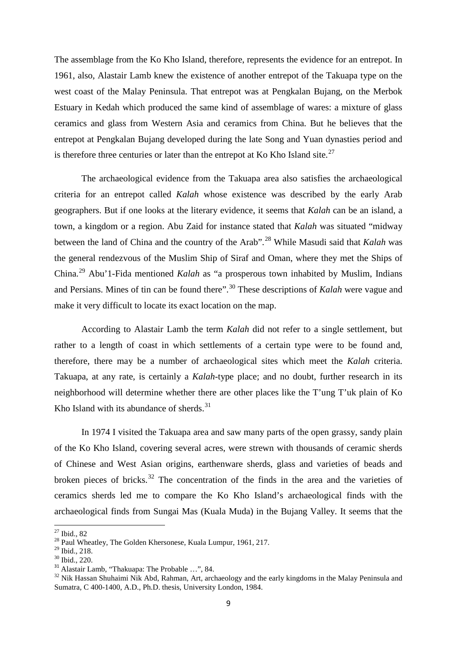The assemblage from the Ko Kho Island, therefore, represents the evidence for an entrepot. In 1961, also, Alastair Lamb knew the existence of another entrepot of the Takuapa type on the west coast of the Malay Peninsula. That entrepot was at Pengkalan Bujang, on the Merbok Estuary in Kedah which produced the same kind of assemblage of wares: a mixture of glass ceramics and glass from Western Asia and ceramics from China. But he believes that the entrepot at Pengkalan Bujang developed during the late Song and Yuan dynasties period and is therefore three centuries or later than the entrepot at Ko Kho Island site.<sup>[27](#page-8-0)</sup>

The archaeological evidence from the Takuapa area also satisfies the archaeological criteria for an entrepot called *Kalah* whose existence was described by the early Arab geographers. But if one looks at the literary evidence, it seems that *Kalah* can be an island, a town, a kingdom or a region. Abu Zaid for instance stated that *Kalah* was situated "midway between the land of China and the country of the Arab".[28](#page-8-1) While Masudi said that *Kalah* was the general rendezvous of the Muslim Ship of Siraf and Oman, where they met the Ships of China.[29](#page-8-2) Abu'1-Fida mentioned *Kalah* as "a prosperous town inhabited by Muslim, Indians and Persians. Mines of tin can be found there".<sup>[30](#page-8-3)</sup> These descriptions of *Kalah* were vague and make it very difficult to locate its exact location on the map.

According to Alastair Lamb the term *Kalah* did not refer to a single settlement, but rather to a length of coast in which settlements of a certain type were to be found and, therefore, there may be a number of archaeological sites which meet the *Kalah* criteria. Takuapa, at any rate, is certainly a *Kalah*-type place; and no doubt, further research in its neighborhood will determine whether there are other places like the T'ung T'uk plain of Ko Kho Island with its abundance of sherds.  $31$ 

In 1974 I visited the Takuapa area and saw many parts of the open grassy, sandy plain of the Ko Kho Island, covering several acres, were strewn with thousands of ceramic sherds of Chinese and West Asian origins, earthenware sherds, glass and varieties of beads and broken pieces of bricks.<sup>[32](#page-8-5)</sup> The concentration of the finds in the area and the varieties of ceramics sherds led me to compare the Ko Kho Island's archaeological finds with the archaeological finds from Sungai Mas (Kuala Muda) in the Bujang Valley. It seems that the

<span id="page-8-1"></span><span id="page-8-0"></span><sup>&</sup>lt;sup>27</sup> Ibid., 82<br><sup>28</sup> Paul Wheatley, The Golden Khersonese, Kuala Lumpur, 1961, 217.<br><sup>29</sup> Ibid., 218.

<span id="page-8-5"></span><span id="page-8-4"></span>

<span id="page-8-3"></span><span id="page-8-2"></span><sup>&</sup>lt;sup>30</sup> Ibid., 220.<br><sup>31</sup> Alastair Lamb, "Thakuapa: The Probable …", 84.<br><sup>32</sup> Nik Hassan Shuhaimi Nik Abd, Rahman, Art, archaeology and the early kingdoms in the Malay Peninsula and Sumatra, C 400-1400, A.D., Ph.D. thesis, University London, 1984.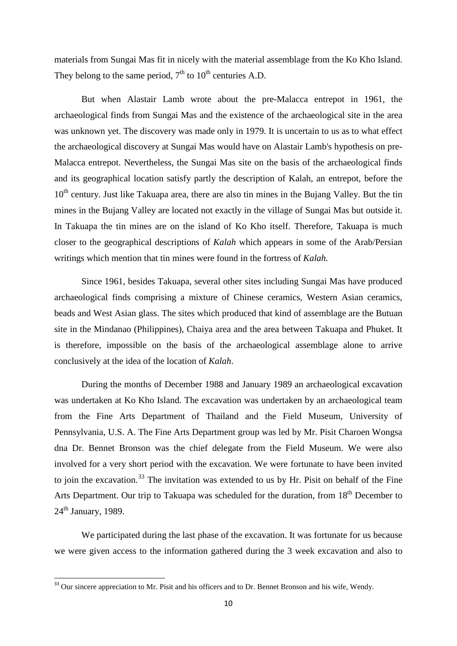materials from Sungai Mas fit in nicely with the material assemblage from the Ko Kho Island. They belong to the same period,  $7<sup>th</sup>$  to  $10<sup>th</sup>$  centuries A.D.

But when Alastair Lamb wrote about the pre-Malacca entrepot in 1961, the archaeological finds from Sungai Mas and the existence of the archaeological site in the area was unknown yet. The discovery was made only in 1979. It is uncertain to us as to what effect the archaeological discovery at Sungai Mas would have on Alastair Lamb's hypothesis on pre-Malacca entrepot. Nevertheless, the Sungai Mas site on the basis of the archaeological finds and its geographical location satisfy partly the description of Kalah, an entrepot, before the  $10<sup>th</sup>$  century. Just like Takuapa area, there are also tin mines in the Bujang Valley. But the tin mines in the Bujang Valley are located not exactly in the village of Sungai Mas but outside it. In Takuapa the tin mines are on the island of Ko Kho itself. Therefore, Takuapa is much closer to the geographical descriptions of *Kalah* which appears in some of the Arab/Persian writings which mention that tin mines were found in the fortress of *Kalah.*

Since 1961, besides Takuapa, several other sites including Sungai Mas have produced archaeological finds comprising a mixture of Chinese ceramics, Western Asian ceramics, beads and West Asian glass. The sites which produced that kind of assemblage are the Butuan site in the Mindanao (Philippines), Chaiya area and the area between Takuapa and Phuket. It is therefore, impossible on the basis of the archaeological assemblage alone to arrive conclusively at the idea of the location of *Kalah*.

During the months of December 1988 and January 1989 an archaeological excavation was undertaken at Ko Kho Island. The excavation was undertaken by an archaeological team from the Fine Arts Department of Thailand and the Field Museum, University of Pennsylvania, U.S. A. The Fine Arts Department group was led by Mr. Pisit Charoen Wongsa dna Dr. Bennet Bronson was the chief delegate from the Field Museum. We were also involved for a very short period with the excavation. We were fortunate to have been invited to join the excavation.<sup>[33](#page-9-0)</sup> The invitation was extended to us by Hr. Pisit on behalf of the Fine Arts Department. Our trip to Takuapa was scheduled for the duration, from 18<sup>th</sup> December to  $24<sup>th</sup>$  January, 1989.

We participated during the last phase of the excavation. It was fortunate for us because we were given access to the information gathered during the 3 week excavation and also to

<span id="page-9-0"></span><sup>&</sup>lt;sup>33</sup> Our sincere appreciation to Mr. Pisit and his officers and to Dr. Bennet Bronson and his wife, Wendy.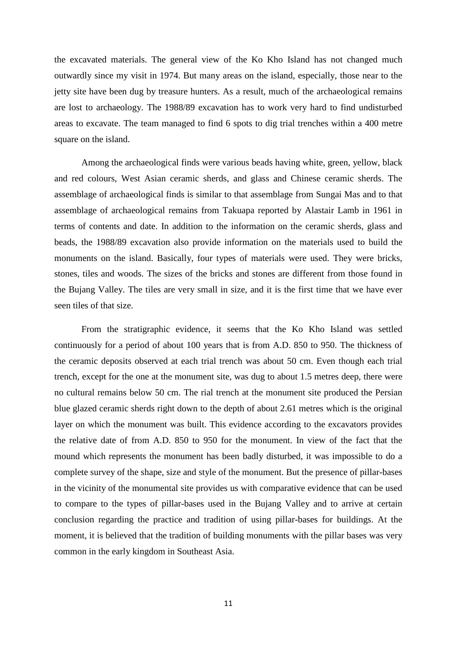the excavated materials. The general view of the Ko Kho Island has not changed much outwardly since my visit in 1974. But many areas on the island, especially, those near to the jetty site have been dug by treasure hunters. As a result, much of the archaeological remains are lost to archaeology. The 1988/89 excavation has to work very hard to find undisturbed areas to excavate. The team managed to find 6 spots to dig trial trenches within a 400 metre square on the island.

Among the archaeological finds were various beads having white, green, yellow, black and red colours, West Asian ceramic sherds, and glass and Chinese ceramic sherds. The assemblage of archaeological finds is similar to that assemblage from Sungai Mas and to that assemblage of archaeological remains from Takuapa reported by Alastair Lamb in 1961 in terms of contents and date. In addition to the information on the ceramic sherds, glass and beads, the 1988/89 excavation also provide information on the materials used to build the monuments on the island. Basically, four types of materials were used. They were bricks, stones, tiles and woods. The sizes of the bricks and stones are different from those found in the Bujang Valley. The tiles are very small in size, and it is the first time that we have ever seen tiles of that size.

From the stratigraphic evidence, it seems that the Ko Kho Island was settled continuously for a period of about 100 years that is from A.D. 850 to 950. The thickness of the ceramic deposits observed at each trial trench was about 50 cm. Even though each trial trench, except for the one at the monument site, was dug to about 1.5 metres deep, there were no cultural remains below 50 cm. The rial trench at the monument site produced the Persian blue glazed ceramic sherds right down to the depth of about 2.61 metres which is the original layer on which the monument was built. This evidence according to the excavators provides the relative date of from A.D. 850 to 950 for the monument. In view of the fact that the mound which represents the monument has been badly disturbed, it was impossible to do a complete survey of the shape, size and style of the monument. But the presence of pillar-bases in the vicinity of the monumental site provides us with comparative evidence that can be used to compare to the types of pillar-bases used in the Bujang Valley and to arrive at certain conclusion regarding the practice and tradition of using pillar-bases for buildings. At the moment, it is believed that the tradition of building monuments with the pillar bases was very common in the early kingdom in Southeast Asia.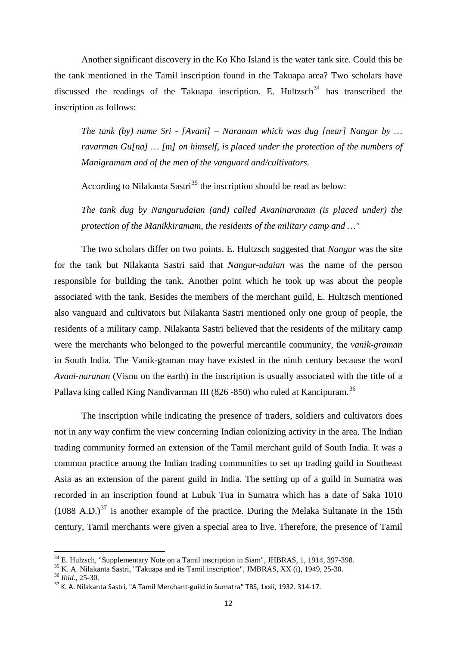Another significant discovery in the Ko Kho Island is the water tank site. Could this be the tank mentioned in the Tamil inscription found in the Takuapa area? Two scholars have discussed the readings of the Takuapa inscription. E. Hultzsch<sup>[34](#page-11-0)</sup> has transcribed the inscription as follows:

*The tank (by) name Sri - [Avani] – Naranam which was dug [near] Nangur by … ravarman Gu[na] … [m] on himself, is placed under the protection of the numbers of Manigramam and of the men of the vanguard and/cultivators.*

According to Nilakanta Sastri<sup>[35](#page-11-1)</sup> the inscription should be read as below:

*The tank dug by Nangurudaian (and) called Avaninaranam (is placed under) the protection of the Manikkiramam, the residents of the military camp and …"*

The two scholars differ on two points. E. Hultzsch suggested that *Nangur* was the site for the tank but Nilakanta Sastri said that *Nangur-udaian* was the name of the person responsible for building the tank. Another point which he took up was about the people associated with the tank. Besides the members of the merchant guild, E. Hultzsch mentioned also vanguard and cultivators but Nilakanta Sastri mentioned only one group of people, the residents of a military camp. Nilakanta Sastri believed that the residents of the military camp were the merchants who belonged to the powerful mercantile community, the *vanik-graman* in South India. The Vanik-graman may have existed in the ninth century because the word *Avani-naranan* (Visnu on the earth) in the inscription is usually associated with the title of a Pallava king called King Nandivarman III (826 -850) who ruled at Kancipuram.<sup>[36](#page-11-2)</sup>

The inscription while indicating the presence of traders, soldiers and cultivators does not in any way confirm the view concerning Indian colonizing activity in the area. The Indian trading community formed an extension of the Tamil merchant guild of South India. It was a common practice among the Indian trading communities to set up trading guild in Southeast Asia as an extension of the parent guild in India. The setting up of a guild in Sumatra was recorded in an inscription found at Lubuk Tua in Sumatra which has a date of Saka 1010  $(1088 \text{ A.D.})^{37}$  $(1088 \text{ A.D.})^{37}$  $(1088 \text{ A.D.})^{37}$  is another example of the practice. During the Melaka Sultanate in the 15th century, Tamil merchants were given a special area to live. Therefore, the presence of Tamil

<span id="page-11-0"></span><sup>&</sup>lt;sup>34</sup> E. Hulzsch, "Supplementary Note on a Tamil inscription in Siam", JHBRAS, 1, 1914, 397-398.<br><sup>35</sup> K. A. Nilakanta Sastri, "Takuapa and its Tamil inscription", JMBRAS, XX (i), 1949, 25-30.<br><sup>36</sup> *Ibid.*, 25-30.<br><sup>37</sup> K. A

<span id="page-11-1"></span>

<span id="page-11-3"></span><span id="page-11-2"></span>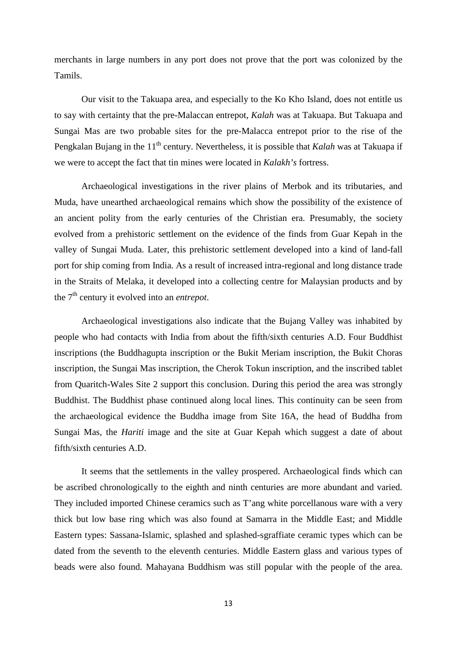merchants in large numbers in any port does not prove that the port was colonized by the Tamils.

Our visit to the Takuapa area, and especially to the Ko Kho Island, does not entitle us to say with certainty that the pre-Malaccan entrepot, *Kalah* was at Takuapa. But Takuapa and Sungai Mas are two probable sites for the pre-Malacca entrepot prior to the rise of the Pengkalan Bujang in the 11<sup>th</sup> century. Nevertheless, it is possible that *Kalah* was at Takuapa if we were to accept the fact that tin mines were located in *Kalakh's* fortress.

Archaeological investigations in the river plains of Merbok and its tributaries, and Muda, have unearthed archaeological remains which show the possibility of the existence of an ancient polity from the early centuries of the Christian era. Presumably, the society evolved from a prehistoric settlement on the evidence of the finds from Guar Kepah in the valley of Sungai Muda. Later, this prehistoric settlement developed into a kind of land-fall port for ship coming from India. As a result of increased intra-regional and long distance trade in the Straits of Melaka, it developed into a collecting centre for Malaysian products and by the 7th century it evolved into an *entrepot*.

Archaeological investigations also indicate that the Bujang Valley was inhabited by people who had contacts with India from about the fifth/sixth centuries A.D. Four Buddhist inscriptions (the Buddhagupta inscription or the Bukit Meriam inscription, the Bukit Choras inscription, the Sungai Mas inscription, the Cherok Tokun inscription, and the inscribed tablet from Quaritch-Wales Site 2 support this conclusion. During this period the area was strongly Buddhist. The Buddhist phase continued along local lines. This continuity can be seen from the archaeological evidence the Buddha image from Site 16A, the head of Buddha from Sungai Mas, the *Hariti* image and the site at Guar Kepah which suggest a date of about fifth/sixth centuries A.D.

It seems that the settlements in the valley prospered. Archaeological finds which can be ascribed chronologically to the eighth and ninth centuries are more abundant and varied. They included imported Chinese ceramics such as T'ang white porcellanous ware with a very thick but low base ring which was also found at Samarra in the Middle East; and Middle Eastern types: Sassana-Islamic, splashed and splashed-sgraffiate ceramic types which can be dated from the seventh to the eleventh centuries. Middle Eastern glass and various types of beads were also found. Mahayana Buddhism was still popular with the people of the area.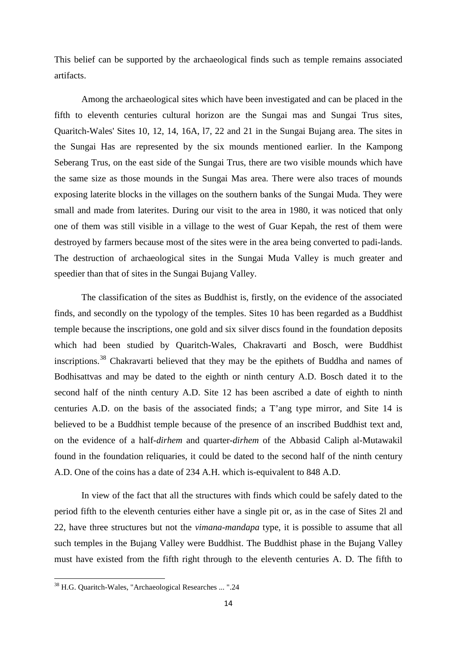This belief can be supported by the archaeological finds such as temple remains associated artifacts.

Among the archaeological sites which have been investigated and can be placed in the fifth to eleventh centuries cultural horizon are the Sungai mas and Sungai Trus sites, Quaritch-Wales' Sites 10, 12, 14, 16A, l7, 22 and 21 in the Sungai Bujang area. The sites in the Sungai Has are represented by the six mounds mentioned earlier. In the Kampong Seberang Trus, on the east side of the Sungai Trus, there are two visible mounds which have the same size as those mounds in the Sungai Mas area. There were also traces of mounds exposing laterite blocks in the villages on the southern banks of the Sungai Muda. They were small and made from laterites. During our visit to the area in 1980, it was noticed that only one of them was still visible in a village to the west of Guar Kepah, the rest of them were destroyed by farmers because most of the sites were in the area being converted to padi-lands. The destruction of archaeological sites in the Sungai Muda Valley is much greater and speedier than that of sites in the Sungai Bujang Valley.

The classification of the sites as Buddhist is, firstly, on the evidence of the associated finds, and secondly on the typology of the temples. Sites 10 has been regarded as a Buddhist temple because the inscriptions, one gold and six silver discs found in the foundation deposits which had been studied by Quaritch-Wales, Chakravarti and Bosch, were Buddhist inscriptions.[38](#page-13-0) Chakravarti believed that they may be the epithets of Buddha and names of Bodhisattvas and may be dated to the eighth or ninth century A.D. Bosch dated it to the second half of the ninth century A.D. Site 12 has been ascribed a date of eighth to ninth centuries A.D. on the basis of the associated finds; a T'ang type mirror, and Site 14 is believed to be a Buddhist temple because of the presence of an inscribed Buddhist text and, on the evidence of a half-*dirhem* and quarter-*dirhem* of the Abbasid Caliph al-Mutawakil found in the foundation reliquaries, it could be dated to the second half of the ninth century A.D. One of the coins has a date of 234 A.H. which is-equivalent to 848 A.D.

In view of the fact that all the structures with finds which could be safely dated to the period fifth to the eleventh centuries either have a single pit or, as in the case of Sites 2l and 22, have three structures but not the *vimana-mandapa* type, it is possible to assume that all such temples in the Bujang Valley were Buddhist. The Buddhist phase in the Bujang Valley must have existed from the fifth right through to the eleventh centuries A. D. The fifth to

<span id="page-13-0"></span><sup>38</sup> H.G. Quaritch-Wales, "Archaeological Researches ... ".24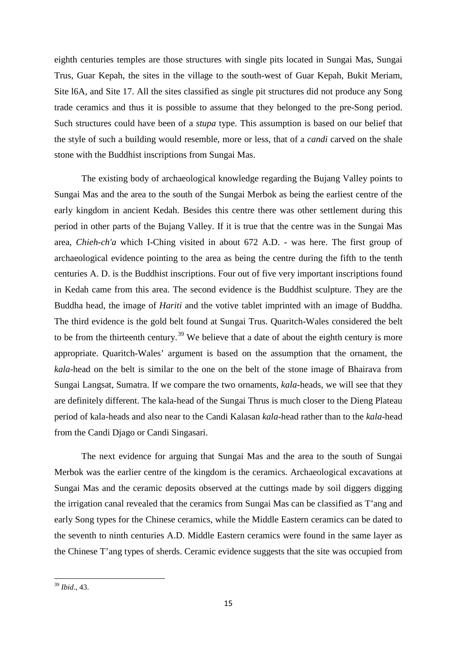eighth centuries temples are those structures with single pits located in Sungai Mas, Sungai Trus, Guar Kepah, the sites in the village to the south-west of Guar Kepah, Bukit Meriam, Site l6A, and Site 17. All the sites classified as single pit structures did not produce any Song trade ceramics and thus it is possible to assume that they belonged to the pre-Song period. Such structures could have been of a *stupa* type. This assumption is based on our belief that the style of such a building would resemble, more or less, that of a *candi* carved on the shale stone with the Buddhist inscriptions from Sungai Mas.

The existing body of archaeological knowledge regarding the Bujang Valley points to Sungai Mas and the area to the south of the Sungai Merbok as being the earliest centre of the early kingdom in ancient Kedah. Besides this centre there was other settlement during this period in other parts of the Bujang Valley. If it is true that the centre was in the Sungai Mas area, *Chieh-ch'a* which I-Ching visited in about 672 A.D. - was here. The first group of archaeological evidence pointing to the area as being the centre during the fifth to the tenth centuries A. D. is the Buddhist inscriptions. Four out of five very important inscriptions found in Kedah came from this area. The second evidence is the Buddhist sculpture. They are the Buddha head, the image of *Hariti* and the votive tablet imprinted with an image of Buddha. The third evidence is the gold belt found at Sungai Trus. Quaritch-Wales considered the belt to be from the thirteenth century.<sup>[39](#page-14-0)</sup> We believe that a date of about the eighth century is more appropriate. Quaritch-Wales' argument is based on the assumption that the ornament, the *kala*-head on the belt is similar to the one on the belt of the stone image of Bhairava from Sungai Langsat, Sumatra. If we compare the two ornaments, *kala*-heads, we will see that they are definitely different. The kala-head of the Sungai Thrus is much closer to the Dieng Plateau period of kala-heads and also near to the Candi Kalasan *kala*-head rather than to the *kala*-head from the Candi Djago or Candi Singasari.

The next evidence for arguing that Sungai Mas and the area to the south of Sungai Merbok was the earlier centre of the kingdom is the ceramics. Archaeological excavations at Sungai Mas and the ceramic deposits observed at the cuttings made by soil diggers digging the irrigation canal revealed that the ceramics from Sungai Mas can be classified as T'ang and early Song types for the Chinese ceramics, while the Middle Eastern ceramics can be dated to the seventh to ninth centuries A.D. Middle Eastern ceramics were found in the same layer as the Chinese T'ang types of sherds. Ceramic evidence suggests that the site was occupied from

<span id="page-14-0"></span><sup>39</sup> *Ibid*., 43.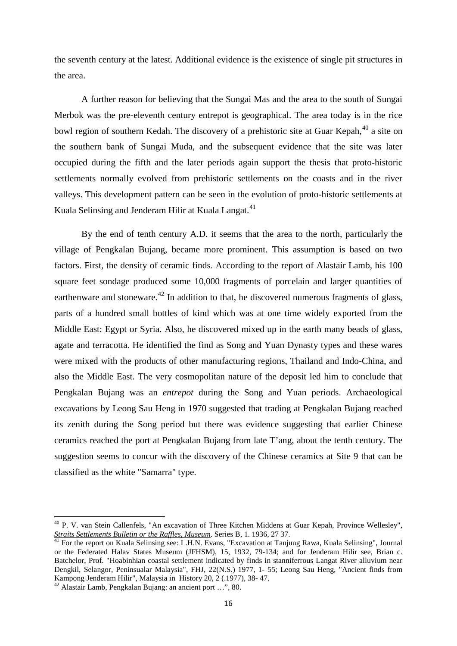the seventh century at the latest. Additional evidence is the existence of single pit structures in the area.

A further reason for believing that the Sungai Mas and the area to the south of Sungai Merbok was the pre-eleventh century entrepot is geographical. The area today is in the rice bowl region of southern Kedah. The discovery of a prehistoric site at Guar Kepah,<sup>[40](#page-15-0)</sup> a site on the southern bank of Sungai Muda, and the subsequent evidence that the site was later occupied during the fifth and the later periods again support the thesis that proto-historic settlements normally evolved from prehistoric settlements on the coasts and in the river valleys. This development pattern can be seen in the evolution of proto-historic settlements at Kuala Selinsing and Jenderam Hilir at Kuala Langat.<sup>[41](#page-15-1)</sup>

By the end of tenth century A.D. it seems that the area to the north, particularly the village of Pengkalan Bujang, became more prominent. This assumption is based on two factors. First, the density of ceramic finds. According to the report of Alastair Lamb, his 100 square feet sondage produced some 10,000 fragments of porcelain and larger quantities of earthenware and stoneware.<sup>[42](#page-15-2)</sup> In addition to that, he discovered numerous fragments of glass, parts of a hundred small bottles of kind which was at one time widely exported from the Middle East: Egypt or Syria. Also, he discovered mixed up in the earth many beads of glass, agate and terracotta. He identified the find as Song and Yuan Dynasty types and these wares were mixed with the products of other manufacturing regions, Thailand and Indo-China, and also the Middle East. The very cosmopolitan nature of the deposit led him to conclude that Pengkalan Bujang was an *entrepot* during the Song and Yuan periods. Archaeological excavations by Leong Sau Heng in 1970 suggested that trading at Pengkalan Bujang reached its zenith during the Song period but there was evidence suggesting that earlier Chinese ceramics reached the port at Pengkalan Bujang from late T'ang, about the tenth century. The suggestion seems to concur with the discovery of the Chinese ceramics at Site 9 that can be classified as the white "Samarra" type.

<span id="page-15-0"></span><sup>&</sup>lt;sup>40</sup> P. V. van Stein Callenfels, "An excavation of Three Kitchen Middens at Guar Kepah, Province Wellesley", *Straits Settlements Bulletin or the Raffles, Museum.* Series B, 1. 1936, 27 37.

<span id="page-15-1"></span>*Straits Settlements Bulletin or the Raffles, Museum*. Series B, 1. 1936, 27 37. <sup>41</sup> For the report on Kuala Selinsing see: I .H.N. Evans, "Excavation at Tanjung Rawa, Kuala Selinsing", Journal or the Federated Halav States Museum (JFHSM), 15, 1932, 79-134; and for Jenderam Hilir see, Brian c. Batchelor, Prof. "Hoabinhian coastal settlement indicated by finds in stanniferrous Langat River alluvium near Dengkil, Selangor, Peninsualar Malaysia", FHJ, 22(N.S.) 1977, 1- 55; Leong Sau Heng, "Ancient finds from Kampong Jenderam Hilir", Malaysia in History 20, 2 (.1977), 38- 47.

<span id="page-15-2"></span> $42$  Alastair Lamb, Pengkalan Bujang: an ancient port …", 80.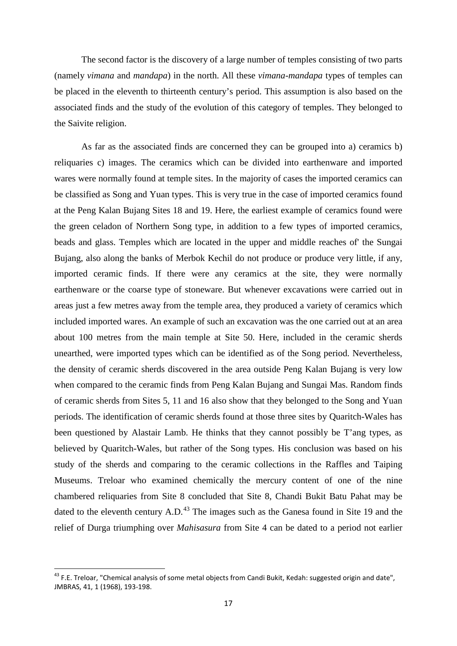The second factor is the discovery of a large number of temples consisting of two parts (namely *vimana* and *mandapa*) in the north. All these *vimana-mandapa* types of temples can be placed in the eleventh to thirteenth century's period. This assumption is also based on the associated finds and the study of the evolution of this category of temples. They belonged to the Saivite religion.

As far as the associated finds are concerned they can be grouped into a) ceramics b) reliquaries c) images. The ceramics which can be divided into earthenware and imported wares were normally found at temple sites. In the majority of cases the imported ceramics can be classified as Song and Yuan types. This is very true in the case of imported ceramics found at the Peng Kalan Bujang Sites 18 and 19. Here, the earliest example of ceramics found were the green celadon of Northern Song type, in addition to a few types of imported ceramics, beads and glass. Temples which are located in the upper and middle reaches of' the Sungai Bujang, also along the banks of Merbok Kechil do not produce or produce very little, if any, imported ceramic finds. If there were any ceramics at the site, they were normally earthenware or the coarse type of stoneware. But whenever excavations were carried out in areas just a few metres away from the temple area, they produced a variety of ceramics which included imported wares. An example of such an excavation was the one carried out at an area about 100 metres from the main temple at Site 50. Here, included in the ceramic sherds unearthed, were imported types which can be identified as of the Song period. Nevertheless, the density of ceramic sherds discovered in the area outside Peng Kalan Bujang is very low when compared to the ceramic finds from Peng Kalan Bujang and Sungai Mas. Random finds of ceramic sherds from Sites 5, 11 and 16 also show that they belonged to the Song and Yuan periods. The identification of ceramic sherds found at those three sites by Quaritch-Wales has been questioned by Alastair Lamb. He thinks that they cannot possibly be T'ang types, as believed by Quaritch-Wales, but rather of the Song types. His conclusion was based on his study of the sherds and comparing to the ceramic collections in the Raffles and Taiping Museums. Treloar who examined chemically the mercury content of one of the nine chambered reliquaries from Site 8 concluded that Site 8, Chandi Bukit Batu Pahat may be dated to the eleventh century  $A.D.<sup>43</sup>$  $A.D.<sup>43</sup>$  $A.D.<sup>43</sup>$  The images such as the Ganesa found in Site 19 and the relief of Durga triumphing over *Mahisasura* from Site 4 can be dated to a period not earlier

<span id="page-16-0"></span><sup>&</sup>lt;sup>43</sup> F.E. Treloar, "Chemical analysis of some metal objects from Candi Bukit, Kedah: suggested origin and date", JMBRAS, 41, 1 (1968), 193-198.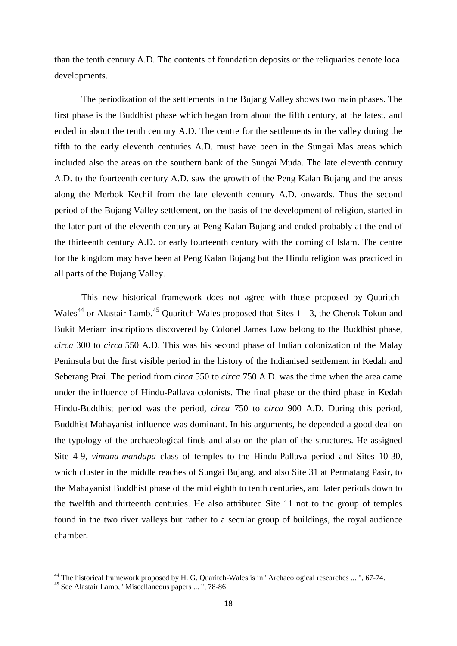than the tenth century A.D. The contents of foundation deposits or the reliquaries denote local developments.

The periodization of the settlements in the Bujang Valley shows two main phases. The first phase is the Buddhist phase which began from about the fifth century, at the latest, and ended in about the tenth century A.D. The centre for the settlements in the valley during the fifth to the early eleventh centuries A.D. must have been in the Sungai Mas areas which included also the areas on the southern bank of the Sungai Muda. The late eleventh century A.D. to the fourteenth century A.D. saw the growth of the Peng Kalan Bujang and the areas along the Merbok Kechil from the late eleventh century A.D. onwards. Thus the second period of the Bujang Valley settlement, on the basis of the development of religion, started in the later part of the eleventh century at Peng Kalan Bujang and ended probably at the end of the thirteenth century A.D. or early fourteenth century with the coming of Islam. The centre for the kingdom may have been at Peng Kalan Bujang but the Hindu religion was practiced in all parts of the Bujang Valley.

This new historical framework does not agree with those proposed by Quaritch-Wales<sup>[44](#page-17-0)</sup> or Alastair Lamb.<sup>[45](#page-17-1)</sup> Quaritch-Wales proposed that Sites 1 - 3, the Cherok Tokun and Bukit Meriam inscriptions discovered by Colonel James Low belong to the Buddhist phase, *circa* 300 to *circa* 550 A.D. This was his second phase of Indian colonization of the Malay Peninsula but the first visible period in the history of the Indianised settlement in Kedah and Seberang Prai. The period from *circa* 550 to *circa* 750 A.D. was the time when the area came under the influence of Hindu-Pallava colonists. The final phase or the third phase in Kedah Hindu-Buddhist period was the period, *circa* 750 to *circa* 900 A.D. During this period, Buddhist Mahayanist influence was dominant. In his arguments, he depended a good deal on the typology of the archaeological finds and also on the plan of the structures. He assigned Site 4-9, *vimana-mandapa* class of temples to the Hindu-Pallava period and Sites 10-30, which cluster in the middle reaches of Sungai Bujang, and also Site 31 at Permatang Pasir, to the Mahayanist Buddhist phase of the mid eighth to tenth centuries, and later periods down to the twelfth and thirteenth centuries. He also attributed Site 11 not to the group of temples found in the two river valleys but rather to a secular group of buildings, the royal audience chamber.

<span id="page-17-1"></span><span id="page-17-0"></span><sup>&</sup>lt;sup>44</sup> The historical framework proposed by H. G. Quaritch-Wales is in "Archaeological researches ... ", 67-74.<br><sup>45</sup> See Alastair Lamb, "Miscellaneous papers ... ", 78-86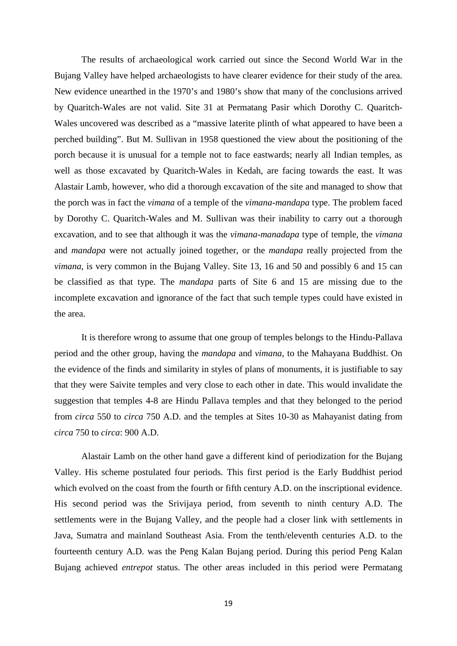The results of archaeological work carried out since the Second World War in the Bujang Valley have helped archaeologists to have clearer evidence for their study of the area. New evidence unearthed in the 1970's and 1980's show that many of the conclusions arrived by Quaritch-Wales are not valid. Site 31 at Permatang Pasir which Dorothy C. Quaritch-Wales uncovered was described as a "massive laterite plinth of what appeared to have been a perched building". But M. Sullivan in 1958 questioned the view about the positioning of the porch because it is unusual for a temple not to face eastwards; nearly all Indian temples, as well as those excavated by Quaritch-Wales in Kedah, are facing towards the east. It was Alastair Lamb, however, who did a thorough excavation of the site and managed to show that the porch was in fact the *vimana* of a temple of the *vimana-mandapa* type. The problem faced by Dorothy C. Quaritch-Wales and M. Sullivan was their inability to carry out a thorough excavation, and to see that although it was the *vimana-manadapa* type of temple, the *vimana* and *mandapa* were not actually joined together, or the *mandapa* really projected from the *vimana*, is very common in the Bujang Valley. Site 13, 16 and 50 and possibly 6 and 15 can be classified as that type. The *mandapa* parts of Site 6 and 15 are missing due to the incomplete excavation and ignorance of the fact that such temple types could have existed in the area.

It is therefore wrong to assume that one group of temples belongs to the Hindu-Pallava period and the other group, having the *mandapa* and *vimana*, to the Mahayana Buddhist. On the evidence of the finds and similarity in styles of plans of monuments, it is justifiable to say that they were Saivite temples and very close to each other in date. This would invalidate the suggestion that temples 4-8 are Hindu Pallava temples and that they belonged to the period from *circa* 550 to *circa* 750 A.D. and the temples at Sites 10-30 as Mahayanist dating from *circa* 750 to *circa*: 900 A.D.

Alastair Lamb on the other hand gave a different kind of periodization for the Bujang Valley. His scheme postulated four periods. This first period is the Early Buddhist period which evolved on the coast from the fourth or fifth century A.D. on the inscriptional evidence. His second period was the Srivijaya period, from seventh to ninth century A.D. The settlements were in the Bujang Valley, and the people had a closer link with settlements in Java, Sumatra and mainland Southeast Asia. From the tenth/eleventh centuries A.D. to the fourteenth century A.D. was the Peng Kalan Bujang period. During this period Peng Kalan Bujang achieved *entrepot* status. The other areas included in this period were Permatang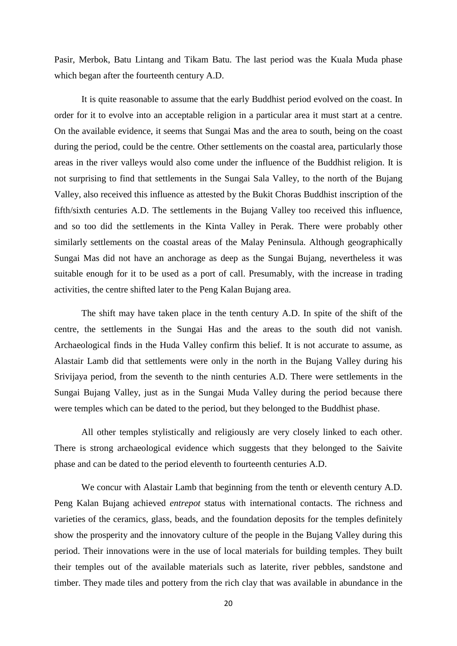Pasir, Merbok, Batu Lintang and Tikam Batu. The last period was the Kuala Muda phase which began after the fourteenth century A.D.

It is quite reasonable to assume that the early Buddhist period evolved on the coast. In order for it to evolve into an acceptable religion in a particular area it must start at a centre. On the available evidence, it seems that Sungai Mas and the area to south, being on the coast during the period, could be the centre. Other settlements on the coastal area, particularly those areas in the river valleys would also come under the influence of the Buddhist religion. It is not surprising to find that settlements in the Sungai Sala Valley, to the north of the Bujang Valley, also received this influence as attested by the Bukit Choras Buddhist inscription of the fifth/sixth centuries A.D. The settlements in the Bujang Valley too received this influence, and so too did the settlements in the Kinta Valley in Perak. There were probably other similarly settlements on the coastal areas of the Malay Peninsula. Although geographically Sungai Mas did not have an anchorage as deep as the Sungai Bujang, nevertheless it was suitable enough for it to be used as a port of call. Presumably, with the increase in trading activities, the centre shifted later to the Peng Kalan Bujang area.

The shift may have taken place in the tenth century A.D. In spite of the shift of the centre, the settlements in the Sungai Has and the areas to the south did not vanish. Archaeological finds in the Huda Valley confirm this belief. It is not accurate to assume, as Alastair Lamb did that settlements were only in the north in the Bujang Valley during his Srivijaya period, from the seventh to the ninth centuries A.D. There were settlements in the Sungai Bujang Valley, just as in the Sungai Muda Valley during the period because there were temples which can be dated to the period, but they belonged to the Buddhist phase.

All other temples stylistically and religiously are very closely linked to each other. There is strong archaeological evidence which suggests that they belonged to the Saivite phase and can be dated to the period eleventh to fourteenth centuries A.D.

We concur with Alastair Lamb that beginning from the tenth or eleventh century A.D. Peng Kalan Bujang achieved *entrepot* status with international contacts. The richness and varieties of the ceramics, glass, beads, and the foundation deposits for the temples definitely show the prosperity and the innovatory culture of the people in the Bujang Valley during this period. Their innovations were in the use of local materials for building temples. They built their temples out of the available materials such as laterite, river pebbles, sandstone and timber. They made tiles and pottery from the rich clay that was available in abundance in the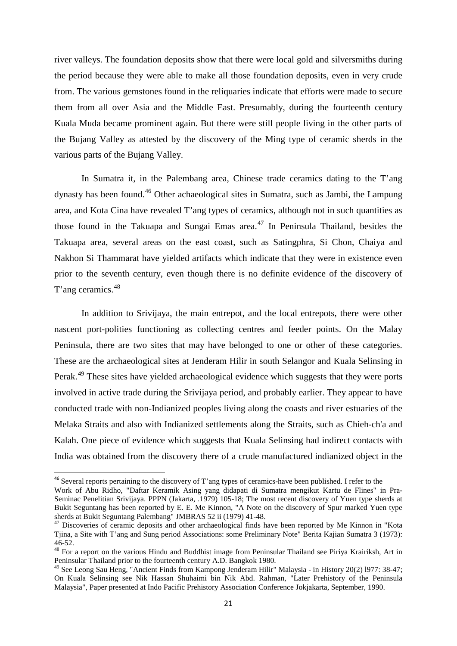river valleys. The foundation deposits show that there were local gold and silversmiths during the period because they were able to make all those foundation deposits, even in very crude from. The various gemstones found in the reliquaries indicate that efforts were made to secure them from all over Asia and the Middle East. Presumably, during the fourteenth century Kuala Muda became prominent again. But there were still people living in the other parts of the Bujang Valley as attested by the discovery of the Ming type of ceramic sherds in the various parts of the Bujang Valley.

In Sumatra it, in the Palembang area, Chinese trade ceramics dating to the T'ang dynasty has been found.<sup>[46](#page-20-0)</sup> Other achaeological sites in Sumatra, such as Jambi, the Lampung area, and Kota Cina have revealed T'ang types of ceramics, although not in such quantities as those found in the Takuapa and Sungai Emas area. $47$  In Peninsula Thailand, besides the Takuapa area, several areas on the east coast, such as Satingphra, Si Chon, Chaiya and Nakhon Si Thammarat have yielded artifacts which indicate that they were in existence even prior to the seventh century, even though there is no definite evidence of the discovery of T'ang ceramics.<sup>[48](#page-20-2)</sup>

In addition to Srivijaya, the main entrepot, and the local entrepots, there were other nascent port-polities functioning as collecting centres and feeder points. On the Malay Peninsula, there are two sites that may have belonged to one or other of these categories. These are the archaeological sites at Jenderam Hilir in south Selangor and Kuala Selinsing in Perak.<sup>[49](#page-20-3)</sup> These sites have vielded archaeological evidence which suggests that they were ports involved in active trade during the Srivijaya period, and probably earlier. They appear to have conducted trade with non-Indianized peoples living along the coasts and river estuaries of the Melaka Straits and also with Indianized settlements along the Straits, such as Chieh-ch'a and Kalah. One piece of evidence which suggests that Kuala Selinsing had indirect contacts with India was obtained from the discovery there of a crude manufactured indianized object in the

<span id="page-20-0"></span><sup>&</sup>lt;sup>46</sup> Several reports pertaining to the discovery of T'ang types of ceramics-have been published. I refer to the Work of Abu Ridho, "Daftar Keramik Asing yang didapati di Sumatra mengikut Kartu de Flines" in Pra-Seminac Penelitian Srivijaya. PPPN (Jakarta, .1979) 105-18; The most recent discovery of Yuen type sherds at Bukit Seguntang has been reported by E. E. Me Kinnon, "A Note on the discovery of Spur marked Yuen type sherds at Bukit Seguntang Palembang" JMBRAS 52 ii (1979) 41-48.

<span id="page-20-1"></span> $\frac{47}{12}$  Discoveries of ceramic deposits and other archaeological finds have been reported by Me Kinnon in "Kota Tjina, a Site with T'ang and Sung period Associations: some Preliminary Note" Berita Kajian Sumatra 3 (1973):

<span id="page-20-2"></span><sup>&</sup>lt;sup>48</sup> For a report on the various Hindu and Buddhist image from Peninsular Thailand see Piriya Krairiksh, Art in Peninsular Thailand prior to the fourteenth century A.D. Bangkok 1980.

<span id="page-20-3"></span><sup>49</sup> See Leong Sau Heng, "Ancient Finds from Kampong Jenderam Hilir" Malaysia - in History 20(2) l977: 38-47; On Kuala Selinsing see Nik Hassan Shuhaimi bin Nik Abd. Rahman, "Later Prehistory of the Peninsula Malaysia", Paper presented at Indo Pacific Prehistory Association Conference Jokjakarta, September, 1990.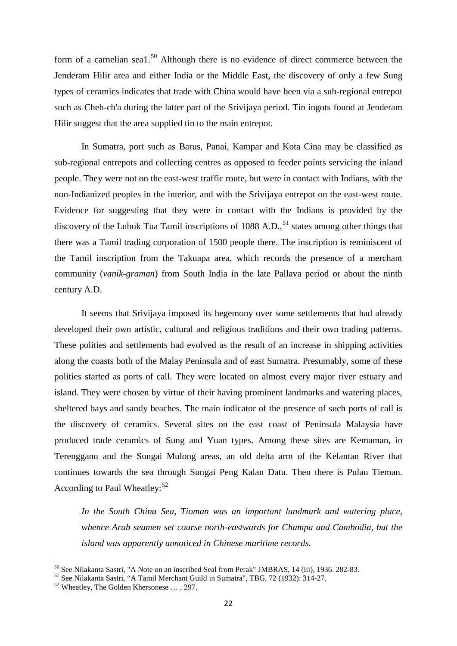form of a carnelian sea1.<sup>[50](#page-21-0)</sup> Although there is no evidence of direct commerce between the Jenderam Hilir area and either India or the Middle East, the discovery of only a few Sung types of ceramics indicates that trade with China would have been via a sub-regional entrepot such as Cheh-ch'a during the latter part of the Srivijaya period. Tin ingots found at Jenderam Hilir suggest that the area supplied tin to the main entrepot.

In Sumatra, port such as Barus, Panai, Kampar and Kota Cina may be classified as sub-regional entrepots and collecting centres as opposed to feeder points servicing the inland people. They were not on the east-west traffic route, but were in contact with Indians, with the non-Indianized peoples in the interior, and with the Srivijaya entrepot on the east-west route. Evidence for suggesting that they were in contact with the Indians is provided by the discovery of the Lubuk Tua Tamil inscriptions of 1088 A.D.,  $51$  states among other things that there was a Tamil trading corporation of 1500 people there. The inscription is reminiscent of the Tamil inscription from the Takuapa area, which records the presence of a merchant community (*vanik-graman*) from South India in the late Pallava period or about the ninth century A.D.

It seems that Srivijaya imposed its hegemony over some settlements that had already developed their own artistic, cultural and religious traditions and their own trading patterns. These polities and settlements had evolved as the result of an increase in shipping activities along the coasts both of the Malay Peninsula and of east Sumatra. Presumably, some of these polities started as ports of call. They were located on almost every major river estuary and island. They were chosen by virtue of their having prominent landmarks and watering places, sheltered bays and sandy beaches. The main indicator of the presence of such ports of call is the discovery of ceramics. Several sites on the east coast of Peninsula Malaysia have produced trade ceramics of Sung and Yuan types. Among these sites are Kemaman, in Terengganu and the Sungai Mulong areas, an old delta arm of the Kelantan River that continues towards the sea through Sungai Peng Kalan Datu. Then there is Pulau Tieman. According to Paul Wheatley:  $52$ 

*In the South China Sea, Tioman was an important landmark and watering place, whence Arab seamen set course north-eastwards for Champa and Cambodia, but the island was apparently unnoticed in Chinese maritime records.*

<span id="page-21-0"></span><sup>&</sup>lt;sup>50</sup> See Nilakanta Sastri, "A Note on an inscribed Seal from Perak" JMBRAS, 14 (iii), 1936. 282-83.<br><sup>51</sup> See Nilakanta Sastri, "A Tamil Merchant Guild in Sumatra", TBG, 72 (1932): 314-27.<br><sup>52</sup> Wheatley, The Golden Kherson

<span id="page-21-1"></span>

<span id="page-21-2"></span>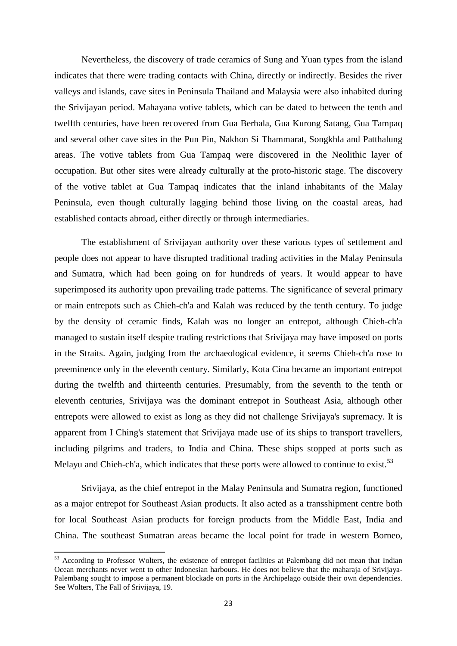Nevertheless, the discovery of trade ceramics of Sung and Yuan types from the island indicates that there were trading contacts with China, directly or indirectly. Besides the river valleys and islands, cave sites in Peninsula Thailand and Malaysia were also inhabited during the Srivijayan period. Mahayana votive tablets, which can be dated to between the tenth and twelfth centuries, have been recovered from Gua Berhala, Gua Kurong Satang, Gua Tampaq and several other cave sites in the Pun Pin, Nakhon Si Thammarat, Songkhla and Patthalung areas. The votive tablets from Gua Tampaq were discovered in the Neolithic layer of occupation. But other sites were already culturally at the proto-historic stage. The discovery of the votive tablet at Gua Tampaq indicates that the inland inhabitants of the Malay Peninsula, even though culturally lagging behind those living on the coastal areas, had established contacts abroad, either directly or through intermediaries.

The establishment of Srivijayan authority over these various types of settlement and people does not appear to have disrupted traditional trading activities in the Malay Peninsula and Sumatra, which had been going on for hundreds of years. It would appear to have superimposed its authority upon prevailing trade patterns. The significance of several primary or main entrepots such as Chieh-ch'a and Kalah was reduced by the tenth century. To judge by the density of ceramic finds, Kalah was no longer an entrepot, although Chieh-ch'a managed to sustain itself despite trading restrictions that Srivijaya may have imposed on ports in the Straits. Again, judging from the archaeological evidence, it seems Chieh-ch'a rose to preeminence only in the eleventh century. Similarly, Kota Cina became an important entrepot during the twelfth and thirteenth centuries. Presumably, from the seventh to the tenth or eleventh centuries, Srivijaya was the dominant entrepot in Southeast Asia, although other entrepots were allowed to exist as long as they did not challenge Srivijaya's supremacy. It is apparent from I Ching's statement that Srivijaya made use of its ships to transport travellers, including pilgrims and traders, to India and China. These ships stopped at ports such as Melayu and Chieh-ch'a, which indicates that these ports were allowed to continue to exist.<sup>[53](#page-22-0)</sup>

Srivijaya, as the chief entrepot in the Malay Peninsula and Sumatra region, functioned as a major entrepot for Southeast Asian products. It also acted as a transshipment centre both for local Southeast Asian products for foreign products from the Middle East, India and China. The southeast Sumatran areas became the local point for trade in western Borneo,

<span id="page-22-0"></span><sup>53</sup> According to Professor Wolters, the existence of entrepot facilities at Palembang did not mean that Indian Ocean merchants never went to other Indonesian harbours. He does not believe that the maharaja of Srivijaya-Palembang sought to impose a permanent blockade on ports in the Archipelago outside their own dependencies. See Wolters, The Fall of Srivijaya, 19.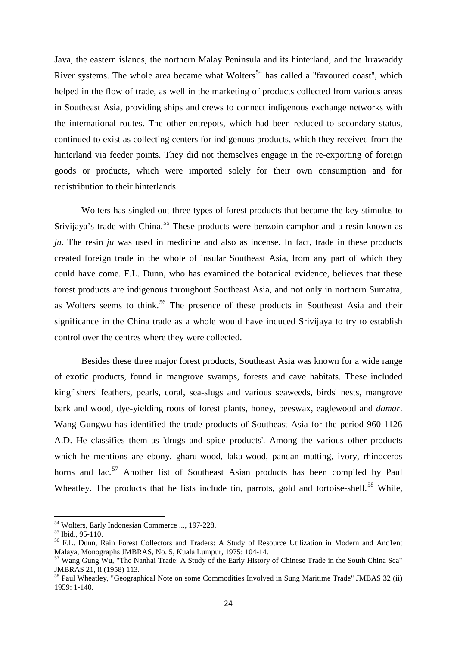Java, the eastern islands, the northern Malay Peninsula and its hinterland, and the Irrawaddy River systems. The whole area became what Wolters<sup>[54](#page-23-0)</sup> has called a "favoured coast", which helped in the flow of trade, as well in the marketing of products collected from various areas in Southeast Asia, providing ships and crews to connect indigenous exchange networks with the international routes. The other entrepots, which had been reduced to secondary status, continued to exist as collecting centers for indigenous products, which they received from the hinterland via feeder points. They did not themselves engage in the re-exporting of foreign goods or products, which were imported solely for their own consumption and for redistribution to their hinterlands.

Wolters has singled out three types of forest products that became the key stimulus to Srivijaya's trade with China.<sup>[55](#page-23-1)</sup> These products were benzoin camphor and a resin known as *ju*. The resin *ju* was used in medicine and also as incense. In fact, trade in these products created foreign trade in the whole of insular Southeast Asia, from any part of which they could have come. F.L. Dunn, who has examined the botanical evidence, believes that these forest products are indigenous throughout Southeast Asia, and not only in northern Sumatra, as Wolters seems to think.<sup>[56](#page-23-2)</sup> The presence of these products in Southeast Asia and their significance in the China trade as a whole would have induced Srivijaya to try to establish control over the centres where they were collected.

Besides these three major forest products, Southeast Asia was known for a wide range of exotic products, found in mangrove swamps, forests and cave habitats. These included kingfishers' feathers, pearls, coral, sea-slugs and various seaweeds, birds' nests, mangrove bark and wood, dye-yielding roots of forest plants, honey, beeswax, eaglewood and *damar*. Wang Gungwu has identified the trade products of Southeast Asia for the period 960-1126 A.D. He classifies them as 'drugs and spice products'. Among the various other products which he mentions are ebony, gharu-wood, laka-wood, pandan matting, ivory, rhinoceros horns and lac.<sup>[57](#page-23-3)</sup> Another list of Southeast Asian products has been compiled by Paul Wheatley. The products that he lists include tin, parrots, gold and tortoise-shell.<sup>[58](#page-23-4)</sup> While,

<span id="page-23-2"></span><span id="page-23-1"></span>

<span id="page-23-0"></span><sup>&</sup>lt;sup>54</sup> Wolters, Early Indonesian Commerce ..., 197-228.<br><sup>55</sup> Ibid., 95-110.<br><sup>56</sup> F.L. Dunn, Rain Forest Collectors and Traders: A Study of Resource Utilization in Modern and Anc1ent<br>Malaya, Monographs JMBRAS, No. 5, Kuala Lu

<span id="page-23-3"></span> $^{57}$  Wang Gung Wu, "The Nanhai Trade: A Study of the Early History of Chinese Trade in the South China Sea" JMBRAS 21, ii (1958) 113.

<span id="page-23-4"></span><sup>&</sup>lt;sup>58</sup> Paul Wheatley, "Geographical Note on some Commodities Involved in Sung Maritime Trade" JMBAS 32 (ii) 1959: 1-140.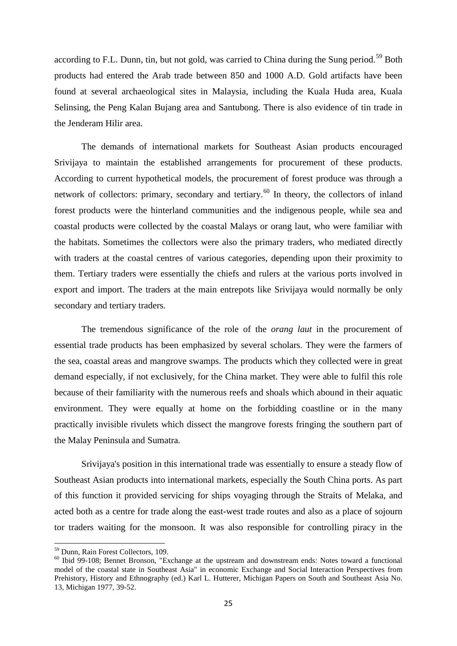according to F.L. Dunn, tin, but not gold, was carried to China during the Sung period.<sup>[59](#page-24-0)</sup> Both products had entered the Arab trade between 850 and 1000 A.D. Gold artifacts have been found at several archaeological sites in Malaysia, including the Kuala Huda area, Kuala Selinsing, the Peng Kalan Bujang area and Santubong. There is also evidence of tin trade in the Jenderam Hilir area.

The demands of international markets for Southeast Asian products encouraged Srivijaya to maintain the established arrangements for procurement of these products. According to current hypothetical models, the procurement of forest produce was through a network of collectors: primary, secondary and tertiary.<sup>[60](#page-24-1)</sup> In theory, the collectors of inland forest products were the hinterland communities and the indigenous people, while sea and coastal products were collected by the coastal Malays or orang laut, who were familiar with the habitats. Sometimes the collectors were also the primary traders, who mediated directly with traders at the coastal centres of various categories, depending upon their proximity to them. Tertiary traders were essentially the chiefs and rulers at the various ports involved in export and import. The traders at the main entrepots like Srivijaya would normally be only secondary and tertiary traders.

The tremendous significance of the role of the *orang laut* in the procurement of essential trade products has been emphasized by several scholars. They were the farmers of the sea, coastal areas and mangrove swamps. The products which they collected were in great demand especially, if not exclusively, for the China market. They were able to fulfil this role because of their familiarity with the numerous reefs and shoals which abound in their aquatic environment. They were equally at home on the forbidding coastline or in the many practically invisible rivulets which dissect the mangrove forests fringing the southern part of the Malay Peninsula and Sumatra.

Srivijaya's position in this international trade was essentially to ensure a steady flow of Southeast Asian products into international markets, especially the South China ports. As part of this function it provided servicing for ships voyaging through the Straits of Melaka, and acted both as a centre for trade along the east-west trade routes and also as a place of sojourn tor traders waiting for the monsoon. It was also responsible for controlling piracy in the

<span id="page-24-1"></span><span id="page-24-0"></span> $^{59}$  Dunn, Rain Forest Collectors, 109.<br><sup>60</sup> Ibid 99-108; Bennet Bronson, "Exchange at the upstream and downstream ends: Notes toward a functional model of the coastal state in Southeast Asia" in economic Exchange and Social Interaction Perspectives from Prehistory, History and Ethnography (ed.) Karl L. Hutterer, Michigan Papers on South and Southeast Asia No. 13, Michigan 1977, 39-52.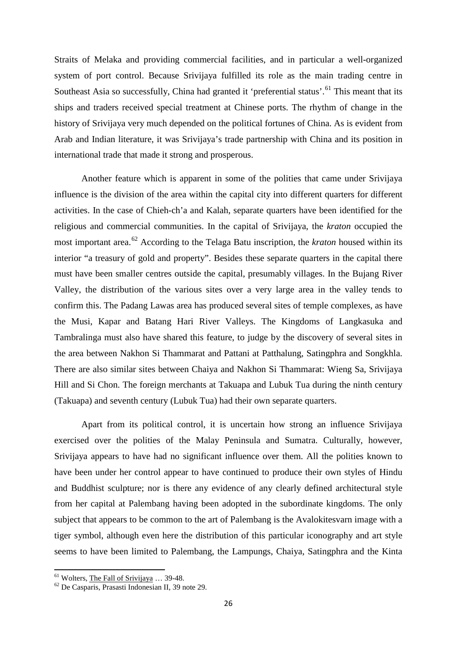Straits of Melaka and providing commercial facilities, and in particular a well-organized system of port control. Because Srivijaya fulfilled its role as the main trading centre in Southeast Asia so successfully, China had granted it 'preferential status'.<sup>[61](#page-25-0)</sup> This meant that its ships and traders received special treatment at Chinese ports. The rhythm of change in the history of Srivijaya very much depended on the political fortunes of China. As is evident from Arab and Indian literature, it was Srivijaya's trade partnership with China and its position in international trade that made it strong and prosperous.

Another feature which is apparent in some of the polities that came under Srivijaya influence is the division of the area within the capital city into different quarters for different activities. In the case of Chieh-ch'a and Kalah, separate quarters have been identified for the religious and commercial communities. In the capital of Srivijaya, the *kraton* occupied the most important area.[62](#page-25-1) According to the Telaga Batu inscription, the *kraton* housed within its interior "a treasury of gold and property". Besides these separate quarters in the capital there must have been smaller centres outside the capital, presumably villages. In the Bujang River Valley, the distribution of the various sites over a very large area in the valley tends to confirm this. The Padang Lawas area has produced several sites of temple complexes, as have the Musi, Kapar and Batang Hari River Valleys. The Kingdoms of Langkasuka and Tambralinga must also have shared this feature, to judge by the discovery of several sites in the area between Nakhon Si Thammarat and Pattani at Patthalung, Satingphra and Songkhla. There are also similar sites between Chaiya and Nakhon Si Thammarat: Wieng Sa, Srivijaya Hill and Si Chon. The foreign merchants at Takuapa and Lubuk Tua during the ninth century (Takuapa) and seventh century (Lubuk Tua) had their own separate quarters.

Apart from its political control, it is uncertain how strong an influence Srivijaya exercised over the polities of the Malay Peninsula and Sumatra. Culturally, however, Srivijaya appears to have had no significant influence over them. All the polities known to have been under her control appear to have continued to produce their own styles of Hindu and Buddhist sculpture; nor is there any evidence of any clearly defined architectural style from her capital at Palembang having been adopted in the subordinate kingdoms. The only subject that appears to be common to the art of Palembang is the Avalokitesvarn image with a tiger symbol, although even here the distribution of this particular iconography and art style seems to have been limited to Palembang, the Lampungs, Chaiya, Satingphra and the Kinta

<span id="page-25-1"></span><span id="page-25-0"></span><sup>&</sup>lt;sup>61</sup> Wolters, <u>The Fall of Srivijaya</u> ... 39-48.<br><sup>62</sup> De Casparis, Prasasti Indonesian II, 39 note 29.